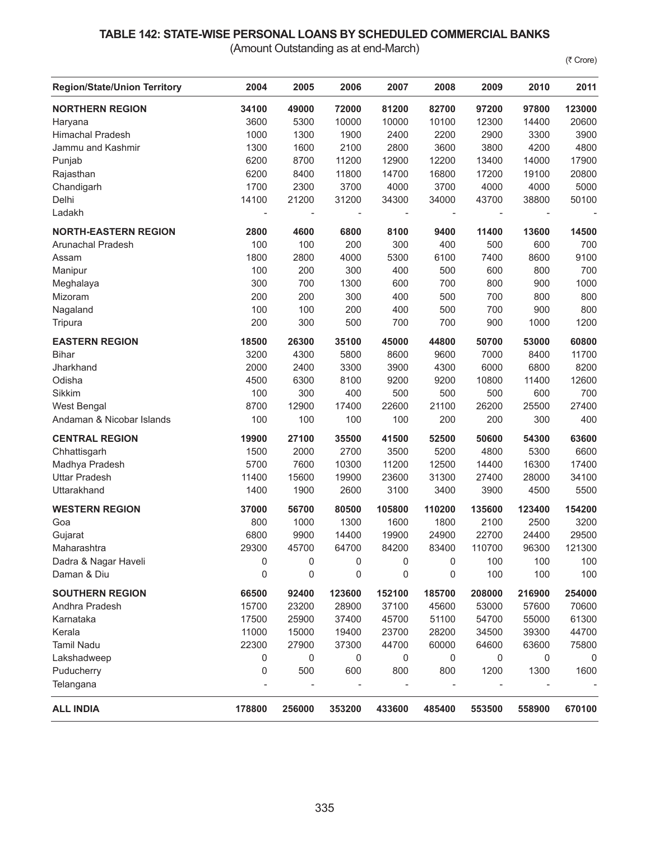## **TABLE 142: STATE-WISE PERSONAL LOANS BY SCHEDULED COMMERCIAL BANKS**

(Amount Outstanding as at end-March)

(₹ Crore)

| <b>Region/State/Union Territory</b> | 2004                     | 2005           | 2006   | 2007   | 2008   | 2009                     | 2010   | 2011   |
|-------------------------------------|--------------------------|----------------|--------|--------|--------|--------------------------|--------|--------|
| <b>NORTHERN REGION</b>              | 34100                    | 49000          | 72000  | 81200  | 82700  | 97200                    | 97800  | 123000 |
| Haryana                             | 3600                     | 5300           | 10000  | 10000  | 10100  | 12300                    | 14400  | 20600  |
| <b>Himachal Pradesh</b>             | 1000                     | 1300           | 1900   | 2400   | 2200   | 2900                     | 3300   | 3900   |
| Jammu and Kashmir                   | 1300                     | 1600           | 2100   | 2800   | 3600   | 3800                     | 4200   | 4800   |
| Punjab                              | 6200                     | 8700           | 11200  | 12900  | 12200  | 13400                    | 14000  | 17900  |
| Rajasthan                           | 6200                     | 8400           | 11800  | 14700  | 16800  | 17200                    | 19100  | 20800  |
| Chandigarh                          | 1700                     | 2300           | 3700   | 4000   | 3700   | 4000                     | 4000   | 5000   |
| Delhi                               | 14100                    | 21200          | 31200  | 34300  | 34000  | 43700                    | 38800  | 50100  |
| Ladakh                              | $\overline{\phantom{a}}$ | $\overline{a}$ |        |        |        | $\overline{\phantom{a}}$ |        |        |
| <b>NORTH-EASTERN REGION</b>         | 2800                     | 4600           | 6800   | 8100   | 9400   | 11400                    | 13600  | 14500  |
| Arunachal Pradesh                   | 100                      | 100            | 200    | 300    | 400    | 500                      | 600    | 700    |
| Assam                               | 1800                     | 2800           | 4000   | 5300   | 6100   | 7400                     | 8600   | 9100   |
| Manipur                             | 100                      | 200            | 300    | 400    | 500    | 600                      | 800    | 700    |
| Meghalaya                           | 300                      | 700            | 1300   | 600    | 700    | 800                      | 900    | 1000   |
| Mizoram                             | 200                      | 200            | 300    | 400    | 500    | 700                      | 800    | 800    |
| Nagaland                            | 100                      | 100            | 200    | 400    | 500    | 700                      | 900    | 800    |
| Tripura                             | 200                      | 300            | 500    | 700    | 700    | 900                      | 1000   | 1200   |
| <b>EASTERN REGION</b>               | 18500                    | 26300          | 35100  | 45000  | 44800  | 50700                    | 53000  | 60800  |
| <b>Bihar</b>                        | 3200                     | 4300           | 5800   | 8600   | 9600   | 7000                     | 8400   | 11700  |
| Jharkhand                           | 2000                     | 2400           | 3300   | 3900   | 4300   | 6000                     | 6800   | 8200   |
| Odisha                              | 4500                     | 6300           | 8100   | 9200   | 9200   | 10800                    | 11400  | 12600  |
| Sikkim                              | 100                      | 300            | 400    | 500    | 500    | 500                      | 600    | 700    |
| West Bengal                         | 8700                     | 12900          | 17400  | 22600  | 21100  | 26200                    | 25500  | 27400  |
| Andaman & Nicobar Islands           | 100                      | 100            | 100    | 100    | 200    | 200                      | 300    | 400    |
| <b>CENTRAL REGION</b>               | 19900                    | 27100          | 35500  | 41500  | 52500  | 50600                    | 54300  | 63600  |
| Chhattisgarh                        | 1500                     | 2000           | 2700   | 3500   | 5200   | 4800                     | 5300   | 6600   |
| Madhya Pradesh                      | 5700                     | 7600           | 10300  | 11200  | 12500  | 14400                    | 16300  | 17400  |
| <b>Uttar Pradesh</b>                | 11400                    | 15600          | 19900  | 23600  | 31300  | 27400                    | 28000  | 34100  |
| Uttarakhand                         | 1400                     | 1900           | 2600   | 3100   | 3400   | 3900                     | 4500   | 5500   |
| <b>WESTERN REGION</b>               | 37000                    | 56700          | 80500  | 105800 | 110200 | 135600                   | 123400 | 154200 |
| Goa                                 | 800                      | 1000           | 1300   | 1600   | 1800   | 2100                     | 2500   | 3200   |
| Gujarat                             | 6800                     | 9900           | 14400  | 19900  | 24900  | 22700                    | 24400  | 29500  |
| Maharashtra                         | 29300                    | 45700          | 64700  | 84200  | 83400  | 110700                   | 96300  | 121300 |
| Dadra & Nagar Haveli                | 0                        | 0              | 0      | 0      | 0      | 100                      | 100    | 100    |
| Daman & Diu                         | 0                        | 0              | 0      | 0      | 0      | 100                      | 100    | 100    |
| <b>SOUTHERN REGION</b>              | 66500                    | 92400          | 123600 | 152100 | 185700 | 208000                   | 216900 | 254000 |
| Andhra Pradesh                      | 15700                    | 23200          | 28900  | 37100  | 45600  | 53000                    | 57600  | 70600  |
| Karnataka                           | 17500                    | 25900          | 37400  | 45700  | 51100  | 54700                    | 55000  | 61300  |
| Kerala                              | 11000                    | 15000          | 19400  | 23700  | 28200  | 34500                    | 39300  | 44700  |
| <b>Tamil Nadu</b>                   | 22300                    | 27900          | 37300  | 44700  | 60000  | 64600                    | 63600  | 75800  |
| Lakshadweep                         | 0                        | 0              | 0      | 0      | 0      | 0                        | 0      | 0      |
| Puducherry                          | 0                        | 500            | 600    | 800    | 800    | 1200                     | 1300   | 1600   |
| Telangana                           |                          |                |        |        |        |                          |        |        |
| <b>ALL INDIA</b>                    | 178800                   | 256000         | 353200 | 433600 | 485400 | 553500                   | 558900 | 670100 |